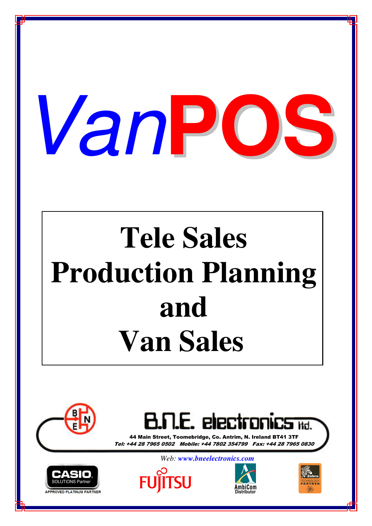

# **Tele Sales Production Planning and Van Sales**





44 Main Street, Toomebridge, Co. Antrim, N. Ireland BT41 3TF Tel: +44 28 7965 0502 Mobile: +44 7802 354799 Fax: +44 28 7965 0830



*Web: www.bneelectronics.com*





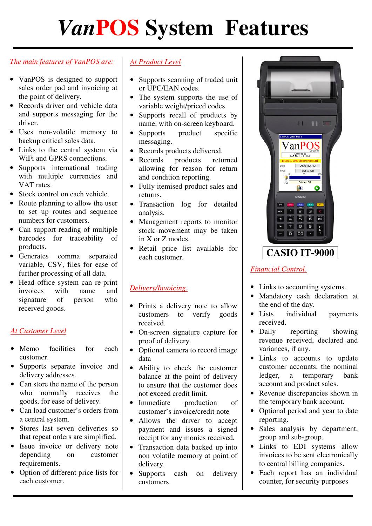# *Van***POS System Features**

#### *The main features of VanPOS are:*

- VanPOS is designed to support sales order pad and invoicing at the point of delivery.
- Records driver and vehicle data and supports messaging for the driver.
- Uses non-volatile memory to backup critical sales data.
- Links to the central system via WiFi and GPRS connections.
- Supports international trading with multiple currencies and VAT rates.
- Stock control on each vehicle.
- Route planning to allow the user to set up routes and sequence numbers for customers.
- Can support reading of multiple barcodes for traceability of products.
- Generates comma separated variable, CSV, files for ease of further processing of all data.
- Head office system can re-print<br>invoices with name and invoices with name and signature of person who received goods.

#### *At Customer Level*

- Memo facilities for each customer.
- Supports separate invoice and delivery addresses.
- Can store the name of the person who normally receives the goods, for ease of delivery.
- Can load customer's orders from a central system.
- Stores last seven deliveries so that repeat orders are simplified.
- Issue invoice or delivery note depending on customer requirements.
- Option of different price lists for each customer.

#### *At Product Level*

- Supports scanning of traded unit or UPC/EAN codes.
- The system supports the use of variable weight/priced codes.
- Supports recall of products by name, with on-screen keyboard.
- Supports product specific messaging.
- Records products delivered.
- Records products returned allowing for reason for return and condition reporting.
- Fully itemised product sales and returns.
- Transaction log for detailed analysis.
- Management reports to monitor stock movement may be taken in X or Z modes.
- Retail price list available for each customer.

#### *Delivery/Invoicing.*

- Prints a delivery note to allow customers to verify goods received.
- On-screen signature capture for proof of delivery.
- Optional camera to record image data
- Ability to check the customer balance at the point of delivery to ensure that the customer does not exceed credit limit.
- Immediate production of customer's invoice/credit note
- Allows the driver to accept payment and issues a signed receipt for any monies received*.*
- Transaction data backed up into non volatile memory at point of delivery.
- Supports cash on delivery customers



#### *Financial Control.*

- Links to accounting systems.
- Mandatory cash declaration at the end of the day.
- Lists individual payments received.
- Daily reporting showing revenue received, declared and variances, if any.
- Links to accounts to update customer accounts, the nominal ledger, a temporary bank account and product sales.
- Revenue discrepancies shown in the temporary bank account.
- Optional period and year to date reporting.
- Sales analysis by department, group and sub-group.
- Links to EDI systems allow invoices to be sent electronically to central billing companies.
- Each report has an individual counter, for security purposes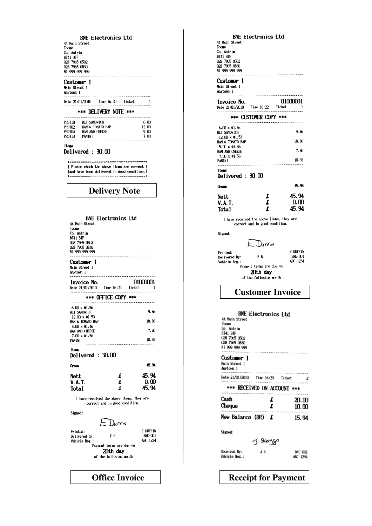**BNE Electronics Ltd** 44 Main Street Toone Co. Antrim BT41 3TF<br>028 7965 0502 028 7965 0830 NI 999 999 999 Customer 1 Main Street 1 Anytown 1 Date  $21/01/2010$  Time 16:20 Ticket  $\overline{1}$ \*\*\* DELIVERY NOTE \*\*\* . . . . . . . . . . . . . . . . . PROT10 BLT SANDWICH 6.00 HAM & TOMATO BAP  $12.00$ PROTTO? HAM AND CHEESE  $5.00$ PRDTU4 **PROT13 PANINI**  $7.00$  $\mathbf{r}$ Ites Delivered: 30.00 ========================== | Please check the above items are correct | and have been delivered in good condition. **Delivery Note BNE Electronics Ltd** 44 Main Street Toome Co. Antria 8141 31F<br>028 7965 0502<br>028 7965 0830 NI 999 999 999 Customer 1 Main Street 1 Anytown 1 Invoice No. 01000001 \*\*\* OFFICE COPY \*\*\* ------------------------------------------- $6.00 \times 01.56$ BLT SANDWICH  $9,36$ 12.00 x 01.53<br>HAM & TOMATO BAP 18.36  $5.00 \times 01.46$ HAM AND CHEESE  $7.30$  $7.00 \times 01.56$  $10.92$ PANINI **Items** Delivered: 30.00 45.94 Gross  $\mathbf{f}$ 45.94 Nett  $\pmb{\pmb{t}}$  $0.00$ **V.A.T.** 45.94  $\cdot$ Total I have received the above items, they are correct and in good condition. Signed: = Durrn E DUFFIN Printed: **BNE-001** Delivered By:  $F R$ ABC 1234 Vehicle Reg.: Payment terms are due on 20th day of the following nonth

**BNE Electronics Ltd** 44 Main Street  $\overline{\text{Toome}}$ Co. Antrim **BT41 3TF** 028 7965 0502 028 7965 0830 NI 999 999 999 ---------------------------Customer 1 Main Street 1 Anytown 1 01000001 Invoice No. Date 21/01/2010 Time 16:22 Ticket . . . . . . . . . \*\*\* CUSTOMER COPY \*\*\* . . . . . . . . . . . . .  $6.00 \times 01.56$ <br>BLT SANDWICH  $9.36$  $12.00 \times 01.53$  $18.36$ HAM & TOMATO BAP  $5.00 \times 01.46$ HAM AND CHEESE  $7.30$  $7.00 \times 01.56$  $10.92$ PANINI . . . . . . . . . . . . . . . . **. . . . .** Ites Delivered: 30.00 15.94 Gross £ 45.94 **Nett**  $0.00$ **V.A.T.**  $\mathbf f$ 45.94 Total I have received the above items, they are correct and in good condition. Signed: E Durrn **E NIFEIN** Printed:  $F B$ BNE-U01 Delivered By: ABC 1234 Vehicle Reg.: Payment terms are due on 20th day of the following month **Customer Invoice BNE Electronics Ltd** 44 Main Street Toome<br>Co. Antrim **BT41 3TF** 0141 311<br>028 79b5 0502<br>028 7965 0830 N1 999 999 999 Customer 1 Main Street 1 Anytown 1 --------- $\label{eq:3.1} \mathcal{L} = \mathcal{L} \left( \mathcal{L} \right) = \mathcal{L} \left( \mathcal{L} \right) = \mathcal{L} \left( \mathcal{L} \right) = \mathcal{L} \left( \mathcal{L} \right) = \mathcal{L} \left( \mathcal{L} \right) = \mathcal{L} \left( \mathcal{L} \right) = \mathcal{L} \left( \mathcal{L} \right) = \mathcal{L} \left( \mathcal{L} \right) = \mathcal{L} \left( \mathcal{L} \right) = \mathcal{L} \left( \mathcal{L} \right) = \mathcal{L} \left( \mathcal{L$ Date 21/01/2010 Iine 16:23 Iicket  $\overline{2}$ \*\*\* RECEIVED ON ACCOUNT \*\*\* Cash £ 20.00 Cheque £  $10.00$ New Balance (DR)  $f$ 15.94 Signed: J. Blogge Received By: J B BNE-001 Vehicle Reg.: ABC 1234

#### **Office Invoice Receipt for Payment**